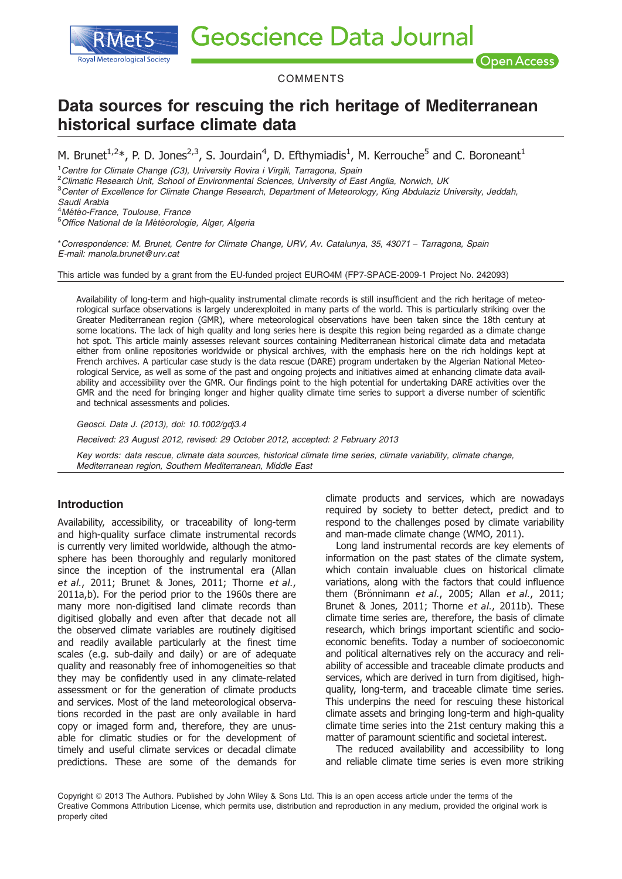**Geoscience Data Journal** 

**Open Access** 

COMMENTS

# Data sources for rescuing the rich heritage of Mediterranean historical surface climate data

M. Brunet<sup>1,2\*</sup>, P. D. Jones<sup>2,3</sup>, S. Jourdain<sup>4</sup>, D. Efthymiadis<sup>1</sup>, M. Kerrouche<sup>5</sup> and C. Boroneant<sup>1</sup>

<sup>1</sup> Centre for Climate Change (C3), University Rovira i Virgili, Tarragona, Spain

<sup>2</sup>Climatic Research Unit, School of Environmental Sciences, University of East Anglia, Norwich, UK

<sup>3</sup>Center of Excellence for Climate Change Research, Department of Meteorology, King Abdulaziz University, Jeddah,

Saudi Arabia

<sup>4</sup>Météo-France, Toulouse, France<br><sup>5</sup>Office National de la Météorolog

**Royal Meteorological Society** 

<sup>5</sup>Office National de la Météorologie, Alger, Algeria

\*Correspondence: M. Brunet, Centre for Climate Change, URV, Av. Catalunya, 35, 43071 – Tarragona, Spain E-mail: manola.brunet@urv.cat

This article was funded by a grant from the EU-funded project EURO4M (FP7-SPACE-2009-1 Project No. 242093)

Availability of long-term and high-quality instrumental climate records is still insufficient and the rich heritage of meteorological surface observations is largely underexploited in many parts of the world. This is particularly striking over the Greater Mediterranean region (GMR), where meteorological observations have been taken since the 18th century at some locations. The lack of high quality and long series here is despite this region being regarded as a climate change hot spot. This article mainly assesses relevant sources containing Mediterranean historical climate data and metadata either from online repositories worldwide or physical archives, with the emphasis here on the rich holdings kept at French archives. A particular case study is the data rescue (DARE) program undertaken by the Algerian National Meteorological Service, as well as some of the past and ongoing projects and initiatives aimed at enhancing climate data availability and accessibility over the GMR. Our findings point to the high potential for undertaking DARE activities over the GMR and the need for bringing longer and higher quality climate time series to support a diverse number of scientific and technical assessments and policies.

Geosci. Data J. (2013), doi: 10.1002/gdj3.4

Received: 23 August 2012, revised: 29 October 2012, accepted: 2 February 2013

Key words: data rescue, climate data sources, historical climate time series, climate variability, climate change, Mediterranean region, Southern Mediterranean, Middle East

# Introduction

Availability, accessibility, or traceability of long-term and high-quality surface climate instrumental records is currently very limited worldwide, although the atmosphere has been thoroughly and regularly monitored since the inception of the instrumental era (Allan et al., 2011; Brunet & Jones, 2011; Thorne et al., 2011a,b). For the period prior to the 1960s there are many more non-digitised land climate records than digitised globally and even after that decade not all the observed climate variables are routinely digitised and readily available particularly at the finest time scales (e.g. sub-daily and daily) or are of adequate quality and reasonably free of inhomogeneities so that they may be confidently used in any climate-related assessment or for the generation of climate products and services. Most of the land meteorological observations recorded in the past are only available in hard copy or imaged form and, therefore, they are unusable for climatic studies or for the development of timely and useful climate services or decadal climate predictions. These are some of the demands for

climate products and services, which are nowadays required by society to better detect, predict and to respond to the challenges posed by climate variability and man-made climate change (WMO, 2011).

Long land instrumental records are key elements of information on the past states of the climate system, which contain invaluable clues on historical climate variations, along with the factors that could influence them (Brönnimann et al., 2005; Allan et al., 2011; Brunet & Jones, 2011; Thorne et al., 2011b). These climate time series are, therefore, the basis of climate research, which brings important scientific and socioeconomic benefits. Today a number of socioeconomic and political alternatives rely on the accuracy and reliability of accessible and traceable climate products and services, which are derived in turn from digitised, highquality, long-term, and traceable climate time series. This underpins the need for rescuing these historical climate assets and bringing long-term and high-quality climate time series into the 21st century making this a matter of paramount scientific and societal interest.

The reduced availability and accessibility to long and reliable climate time series is even more striking

Copyright @ 2013 The Authors. Published by John Wiley & Sons Ltd. This is an open access article under the terms of the Creative Commons Attribution License, which permits use, distribution and reproduction in any medium, provided the original work is properly cited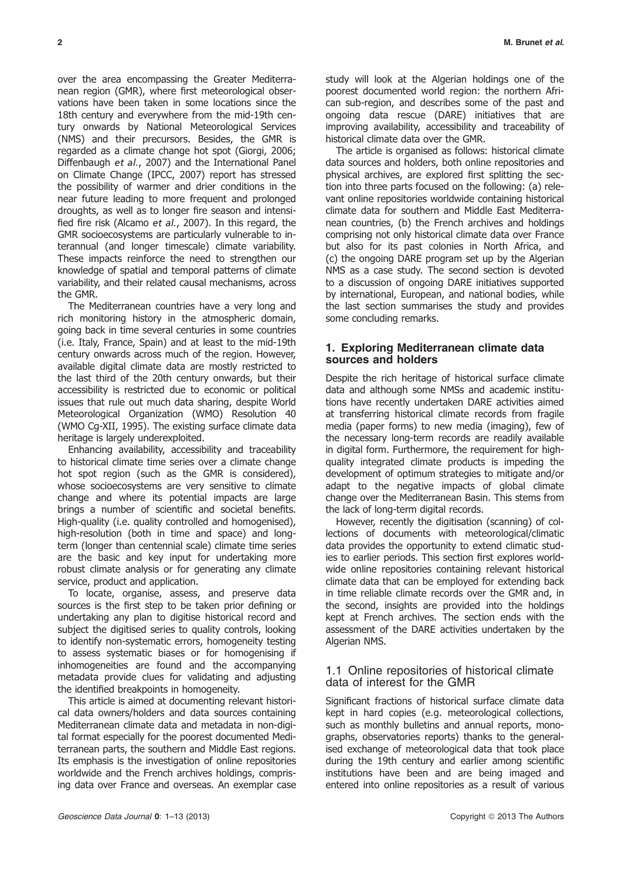over the area encompassing the Greater Mediterranean region (GMR), where first meteorological observations have been taken in some locations since the 18th century and everywhere from the mid-19th century onwards by National Meteorological Services (NMS) and their precursors. Besides, the GMR is regarded as a climate change hot spot (Giorgi, 2006; Diffenbaugh et al., 2007) and the International Panel on Climate Change (IPCC, 2007) report has stressed the possibility of warmer and drier conditions in the near future leading to more frequent and prolonged droughts, as well as to longer fire season and intensified fire risk (Alcamo et al., 2007). In this regard, the GMR socioecosystems are particularly vulnerable to interannual (and longer timescale) climate variability. These impacts reinforce the need to strengthen our knowledge of spatial and temporal patterns of climate variability, and their related causal mechanisms, across the GMR.

The Mediterranean countries have a very long and rich monitoring history in the atmospheric domain, going back in time several centuries in some countries (i.e. Italy, France, Spain) and at least to the mid-19th century onwards across much of the region. However, available digital climate data are mostly restricted to the last third of the 20th century onwards, but their accessibility is restricted due to economic or political issues that rule out much data sharing, despite World Meteorological Organization (WMO) Resolution 40 (WMO Cg-XII, 1995). The existing surface climate data heritage is largely underexploited.

Enhancing availability, accessibility and traceability to historical climate time series over a climate change hot spot region (such as the GMR is considered), whose socioecosystems are very sensitive to climate change and where its potential impacts are large brings a number of scientific and societal benefits. High-quality (i.e. quality controlled and homogenised), high-resolution (both in time and space) and longterm (longer than centennial scale) climate time series are the basic and key input for undertaking more robust climate analysis or for generating any climate service, product and application.

To locate, organise, assess, and preserve data sources is the first step to be taken prior defining or undertaking any plan to digitise historical record and subject the digitised series to quality controls, looking to identify non-systematic errors, homogeneity testing to assess systematic biases or for homogenising if inhomogeneities are found and the accompanying metadata provide clues for validating and adjusting the identified breakpoints in homogeneity.

This article is aimed at documenting relevant historical data owners/holders and data sources containing Mediterranean climate data and metadata in non-digital format especially for the poorest documented Mediterranean parts, the southern and Middle East regions. Its emphasis is the investigation of online repositories worldwide and the French archives holdings, comprising data over France and overseas. An exemplar case study will look at the Algerian holdings one of the poorest documented world region: the northern African sub-region, and describes some of the past and ongoing data rescue (DARE) initiatives that are improving availability, accessibility and traceability of historical climate data over the GMR.

The article is organised as follows: historical climate data sources and holders, both online repositories and physical archives, are explored first splitting the section into three parts focused on the following: (a) relevant online repositories worldwide containing historical climate data for southern and Middle East Mediterranean countries, (b) the French archives and holdings comprising not only historical climate data over France but also for its past colonies in North Africa, and (c) the ongoing DARE program set up by the Algerian NMS as a case study. The second section is devoted to a discussion of ongoing DARE initiatives supported by international, European, and national bodies, while the last section summarises the study and provides some concluding remarks.

# 1. Exploring Mediterranean climate data sources and holders

Despite the rich heritage of historical surface climate data and although some NMSs and academic institutions have recently undertaken DARE activities aimed at transferring historical climate records from fragile media (paper forms) to new media (imaging), few of the necessary long-term records are readily available in digital form. Furthermore, the requirement for highquality integrated climate products is impeding the development of optimum strategies to mitigate and/or adapt to the negative impacts of global climate change over the Mediterranean Basin. This stems from the lack of long-term digital records.

However, recently the digitisation (scanning) of collections of documents with meteorological/climatic data provides the opportunity to extend climatic studies to earlier periods. This section first explores worldwide online repositories containing relevant historical climate data that can be employed for extending back in time reliable climate records over the GMR and, in the second, insights are provided into the holdings kept at French archives. The section ends with the assessment of the DARE activities undertaken by the Algerian NMS.

# 1.1 Online repositories of historical climate data of interest for the GMR

Significant fractions of historical surface climate data kept in hard copies (e.g. meteorological collections, such as monthly bulletins and annual reports, monographs, observatories reports) thanks to the generalised exchange of meteorological data that took place during the 19th century and earlier among scientific institutions have been and are being imaged and entered into online repositories as a result of various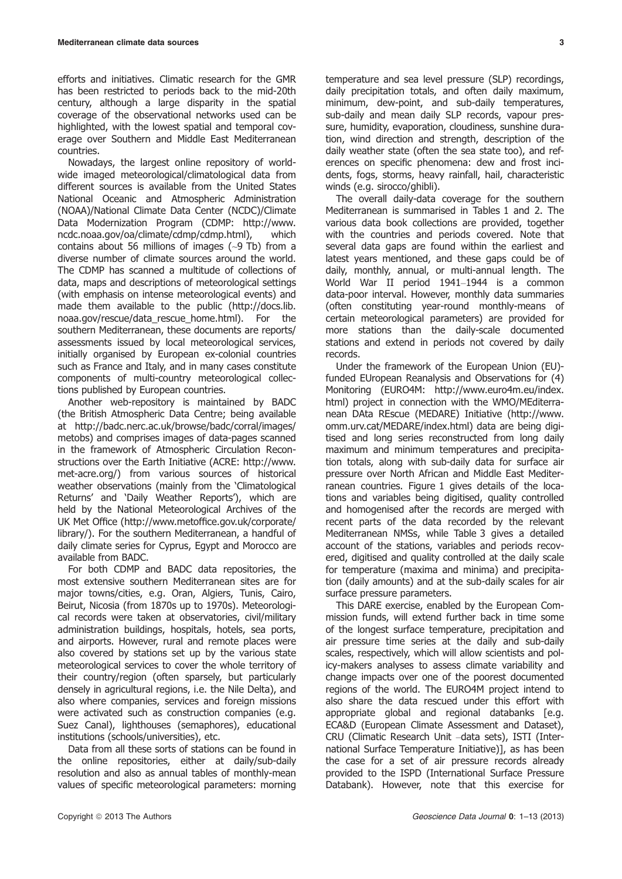efforts and initiatives. Climatic research for the GMR has been restricted to periods back to the mid-20th century, although a large disparity in the spatial coverage of the observational networks used can be highlighted, with the lowest spatial and temporal coverage over Southern and Middle East Mediterranean countries.

Nowadays, the largest online repository of worldwide imaged meteorological/climatological data from different sources is available from the United States National Oceanic and Atmospheric Administration (NOAA)/National Climate Data Center (NCDC)/Climate Data Modernization Program (CDMP: http://www. ncdc.noaa.gov/oa/climate/cdmp/cdmp.html), which contains about 56 millions of images (~9 Tb) from a diverse number of climate sources around the world. The CDMP has scanned a multitude of collections of data, maps and descriptions of meteorological settings (with emphasis on intense meteorological events) and made them available to the public (http://docs.lib. noaa.gov/rescue/data\_rescue\_home.html). For the southern Mediterranean, these documents are reports/ assessments issued by local meteorological services, initially organised by European ex-colonial countries such as France and Italy, and in many cases constitute components of multi-country meteorological collections published by European countries.

Another web-repository is maintained by BADC (the British Atmospheric Data Centre; being available at http://badc.nerc.ac.uk/browse/badc/corral/images/ metobs) and comprises images of data-pages scanned in the framework of Atmospheric Circulation Reconstructions over the Earth Initiative (ACRE: http://www. met-acre.org/) from various sources of historical weather observations (mainly from the 'Climatological Returns' and 'Daily Weather Reports'), which are held by the National Meteorological Archives of the UK Met Office (http://www.metoffice.gov.uk/corporate/ library/). For the southern Mediterranean, a handful of daily climate series for Cyprus, Egypt and Morocco are available from BADC.

For both CDMP and BADC data repositories, the most extensive southern Mediterranean sites are for major towns/cities, e.g. Oran, Algiers, Tunis, Cairo, Beirut, Nicosia (from 1870s up to 1970s). Meteorological records were taken at observatories, civil/military administration buildings, hospitals, hotels, sea ports, and airports. However, rural and remote places were also covered by stations set up by the various state meteorological services to cover the whole territory of their country/region (often sparsely, but particularly densely in agricultural regions, i.e. the Nile Delta), and also where companies, services and foreign missions were activated such as construction companies (e.g. Suez Canal), lighthouses (semaphores), educational institutions (schools/universities), etc.

Data from all these sorts of stations can be found in the online repositories, either at daily/sub-daily resolution and also as annual tables of monthly-mean values of specific meteorological parameters: morning temperature and sea level pressure (SLP) recordings, daily precipitation totals, and often daily maximum, minimum, dew-point, and sub-daily temperatures, sub-daily and mean daily SLP records, vapour pressure, humidity, evaporation, cloudiness, sunshine duration, wind direction and strength, description of the daily weather state (often the sea state too), and references on specific phenomena: dew and frost incidents, fogs, storms, heavy rainfall, hail, characteristic winds (e.g. sirocco/ghibli).

The overall daily-data coverage for the southern Mediterranean is summarised in Tables 1 and 2. The various data book collections are provided, together with the countries and periods covered. Note that several data gaps are found within the earliest and latest years mentioned, and these gaps could be of daily, monthly, annual, or multi-annual length. The World War II period 1941–1944 is a common data-poor interval. However, monthly data summaries (often constituting year-round monthly-means of certain meteorological parameters) are provided for more stations than the daily-scale documented stations and extend in periods not covered by daily records.

Under the framework of the European Union (EU) funded EUropean Reanalysis and Observations for (4) Monitoring (EURO4M: http://www.euro4m.eu/index. html) project in connection with the WMO/MEditerranean DAta REscue (MEDARE) Initiative (http://www. omm.urv.cat/MEDARE/index.html) data are being digitised and long series reconstructed from long daily maximum and minimum temperatures and precipitation totals, along with sub-daily data for surface air pressure over North African and Middle East Mediterranean countries. Figure 1 gives details of the locations and variables being digitised, quality controlled and homogenised after the records are merged with recent parts of the data recorded by the relevant Mediterranean NMSs, while Table 3 gives a detailed account of the stations, variables and periods recovered, digitised and quality controlled at the daily scale for temperature (maxima and minima) and precipitation (daily amounts) and at the sub-daily scales for air surface pressure parameters.

This DARE exercise, enabled by the European Commission funds, will extend further back in time some of the longest surface temperature, precipitation and air pressure time series at the daily and sub-daily scales, respectively, which will allow scientists and policy-makers analyses to assess climate variability and change impacts over one of the poorest documented regions of the world. The EURO4M project intend to also share the data rescued under this effort with appropriate global and regional databanks [e.g. ECA&D (European Climate Assessment and Dataset), CRU (Climatic Research Unit –data sets), ISTI (International Surface Temperature Initiative)], as has been the case for a set of air pressure records already provided to the ISPD (International Surface Pressure Databank). However, note that this exercise for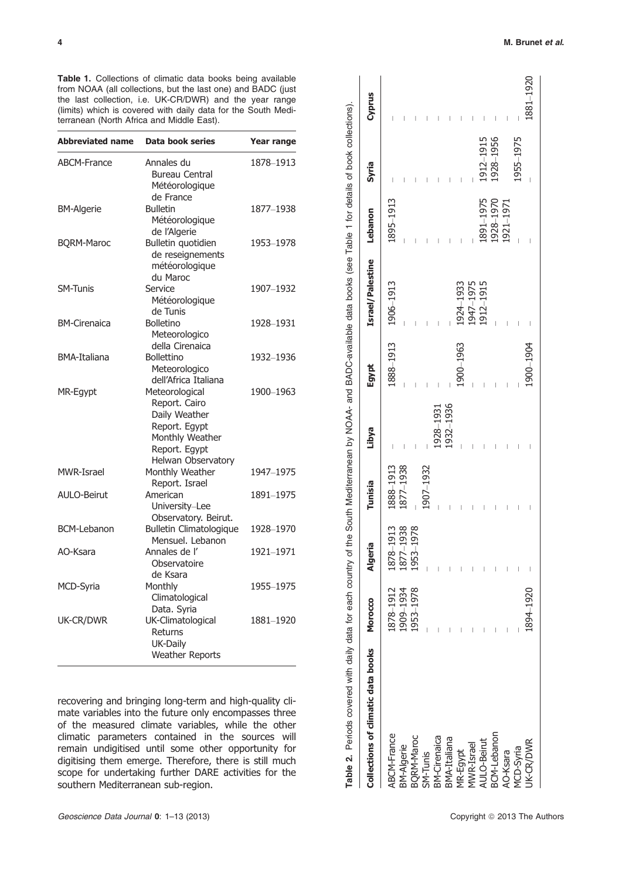Table 1. Collections of climatic data books being available from NOAA (all collections, but the last one) and BADC (just the last collection, i.e. UK-CR/DWR) and the year range (limits) which is covered with daily data for the South Mediterranean (North Africa and Middle East).

| <b>Abbreviated name</b> | <b>Data book series</b>                                                                                                     | <b>Year range</b> |
|-------------------------|-----------------------------------------------------------------------------------------------------------------------------|-------------------|
| <b>ABCM-France</b>      | Annales du<br>Bureau Central<br>Météorologique<br>de France                                                                 | 1878-1913         |
| <b>BM-Algerie</b>       | <b>Bulletin</b><br>Météorologique<br>de l'Algerie                                                                           | 1877-1938         |
| <b>BQRM-Maroc</b>       | Bulletin quotidien<br>de reseignements<br>météorologique<br>du Maroc                                                        | 1953-1978         |
| <b>SM-Tunis</b>         | Service<br>Météorologique<br>de Tunis                                                                                       | 1907-1932         |
| <b>BM-Cirenaica</b>     | <b>Bolletino</b><br>Meteorologico<br>della Cirenaica                                                                        | 1928-1931         |
| <b>BMA-Italiana</b>     | <b>Bollettino</b><br>Meteorologico<br>dell'Africa Italiana                                                                  | 1932-1936         |
| MR-Egypt                | Meteorological<br>Report. Cairo<br>Daily Weather<br>Report. Egypt<br>Monthly Weather<br>Report. Egypt<br>Helwan Observatory | 1900-1963         |
| MWR-Israel              | Monthly Weather<br>Report. Israel                                                                                           | 1947-1975         |
| <b>AULO-Beirut</b>      | American<br>University-Lee<br>Observatory. Beirut.                                                                          | 1891-1975         |
| <b>BCM-Lebanon</b>      | <b>Bulletin Climatologique</b><br>Mensuel. Lebanon                                                                          | 1928-1970         |
| AO-Ksara                | Annales de l'<br>Observatoire<br>de Ksara                                                                                   | 1921-1971         |
| MCD-Syria               | Monthly<br>Climatological<br>Data. Syria                                                                                    | 1955-1975         |
| UK-CR/DWR               | UK-Climatological<br>Returns<br>UK-Daily<br><b>Weather Reports</b>                                                          | 1881-1920         |

recovering and bringing long-term and high-quality climate variables into the future only encompasses three of the measured climate variables, while the other climatic parameters contained in the sources will remain undigitised until some other opportunity for digitising them emerge. Therefore, there is still much scope for undertaking further DARE activities for the southern Mediterranean sub-region.

| Table 2. Periods covered with daily data for each country of the South Mediterranean by NOAA- and BADC-available data books (see Table 1 for details of book collections). |           |                |                |           |           |                  |               |           |           |
|----------------------------------------------------------------------------------------------------------------------------------------------------------------------------|-----------|----------------|----------------|-----------|-----------|------------------|---------------|-----------|-----------|
| Collections of climatic data books                                                                                                                                         | Morocco   | <b>Algeria</b> | <b>Tunisia</b> | Libya     | Egypt     | Israel/Palestine | Lebanon       | Syria     | Cyprus    |
| ABCM-France                                                                                                                                                                | 1878-1912 | 1878-1913      | 888-1913       |           | 1888-1913 | 1906-1913        | 1895-1913     |           |           |
| BM-Algerie                                                                                                                                                                 | 1909-1934 | 1877-1938      | 1877-1938      |           |           |                  |               |           |           |
| 3QRM-Maroc                                                                                                                                                                 | 1953-1978 | 1953-1978      |                |           |           |                  |               |           |           |
| $SM-Tunis$                                                                                                                                                                 |           |                | 1907–1932      |           |           |                  |               |           |           |
| <b>SM-Cirenaica</b>                                                                                                                                                        |           |                |                | 1928–1931 |           |                  |               |           |           |
| BMA-Italiana                                                                                                                                                               |           |                |                | 1932-1936 |           |                  |               |           |           |
| MR-Egypt                                                                                                                                                                   |           |                |                |           | 1900-1963 | 1924-1933        |               |           |           |
| <b>NVR-Israel</b>                                                                                                                                                          |           |                |                |           |           | 1947-1975        |               |           |           |
| AULO-Beirut                                                                                                                                                                |           |                |                |           |           | 1912-1915        | 891-1975      | 1912-1915 |           |
| BCM-Lebanon                                                                                                                                                                |           |                |                |           |           |                  | 1928-1970     | 1928-1956 |           |
| AO-Ksara                                                                                                                                                                   |           |                |                |           | I         |                  | $.921 - 1971$ |           |           |
| VICD-Syria                                                                                                                                                                 |           |                |                |           | I         |                  |               | 1955-1975 | I         |
| JK-CR/DWR                                                                                                                                                                  | 1894-1920 |                |                |           | 1900-1904 |                  |               |           | 1881-1920 |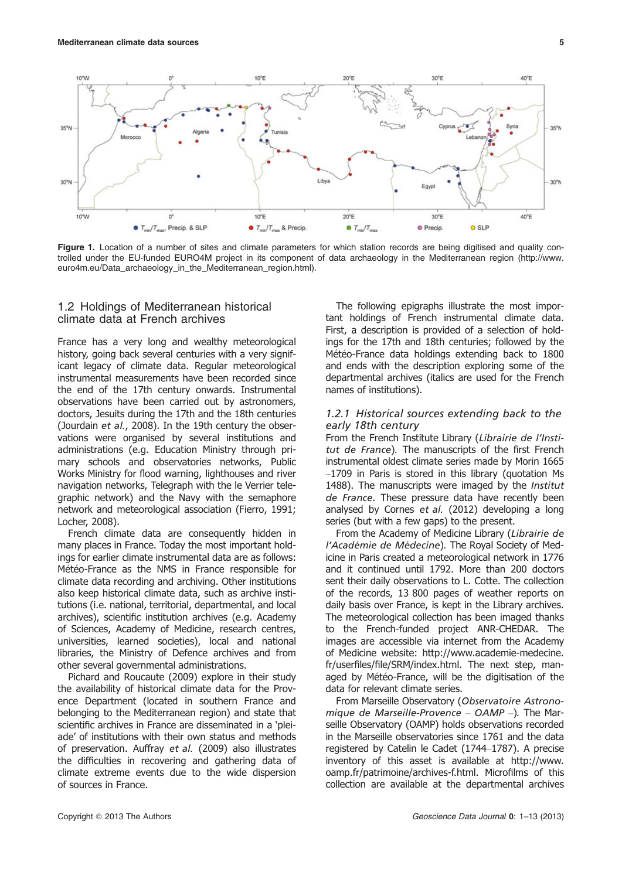

Figure 1. Location of a number of sites and climate parameters for which station records are being digitised and quality controlled under the EU-funded EURO4M project in its component of data archaeology in the Mediterranean region (http://www. euro4m.eu/Data\_archaeology\_in\_the\_Mediterranean\_region.html).

# 1.2 Holdings of Mediterranean historical climate data at French archives

France has a very long and wealthy meteorological history, going back several centuries with a very significant legacy of climate data. Regular meteorological instrumental measurements have been recorded since the end of the 17th century onwards. Instrumental observations have been carried out by astronomers, doctors, Jesuits during the 17th and the 18th centuries (Jourdain et al., 2008). In the 19th century the observations were organised by several institutions and administrations (e.g. Education Ministry through primary schools and observatories networks, Public Works Ministry for flood warning, lighthouses and river navigation networks, Telegraph with the le Verrier telegraphic network) and the Navy with the semaphore network and meteorological association (Fierro, 1991; Locher, 2008).

French climate data are consequently hidden in many places in France. Today the most important holdings for earlier climate instrumental data are as follows: Météo-France as the NMS in France responsible for climate data recording and archiving. Other institutions also keep historical climate data, such as archive institutions (i.e. national, territorial, departmental, and local archives), scientific institution archives (e.g. Academy of Sciences, Academy of Medicine, research centres, universities, learned societies), local and national libraries, the Ministry of Defence archives and from other several governmental administrations.

Pichard and Roucaute (2009) explore in their study the availability of historical climate data for the Provence Department (located in southern France and belonging to the Mediterranean region) and state that scientific archives in France are disseminated in a 'pleiade' of institutions with their own status and methods of preservation. Auffray et al. (2009) also illustrates the difficulties in recovering and gathering data of climate extreme events due to the wide dispersion of sources in France.

The following epigraphs illustrate the most important holdings of French instrumental climate data. First, a description is provided of a selection of holdings for the 17th and 18th centuries; followed by the Météo-France data holdings extending back to 1800 and ends with the description exploring some of the departmental archives (italics are used for the French names of institutions).

## 1.2.1 Historical sources extending back to the early 18th century

From the French Institute Library (Librairie de l'Institut de France). The manuscripts of the first French instrumental oldest climate series made by Morin 1665 –1709 in Paris is stored in this library (quotation Ms 1488). The manuscripts were imaged by the Institut de France. These pressure data have recently been analysed by Cornes et al. (2012) developing a long series (but with a few gaps) to the present.

From the Academy of Medicine Library (Librairie de l'Académie de Médecine). The Royal Society of Medicine in Paris created a meteorological network in 1776 and it continued until 1792. More than 200 doctors sent their daily observations to L. Cotte. The collection of the records, 13 800 pages of weather reports on daily basis over France, is kept in the Library archives. The meteorological collection has been imaged thanks to the French-funded project ANR-CHEDAR. The images are accessible via internet from the Academy of Medicine website: http://www.academie-medecine. fr/userfiles/file/SRM/index.html. The next step, managed by Météo-France, will be the digitisation of the data for relevant climate series.

From Marseille Observatory (Observatoire Astronomique de Marseille-Provence – OAMP –). The Marseille Observatory (OAMP) holds observations recorded in the Marseille observatories since 1761 and the data registered by Catelin le Cadet (1744–1787). A precise inventory of this asset is available at http://www. oamp.fr/patrimoine/archives-f.html. Microfilms of this collection are available at the departmental archives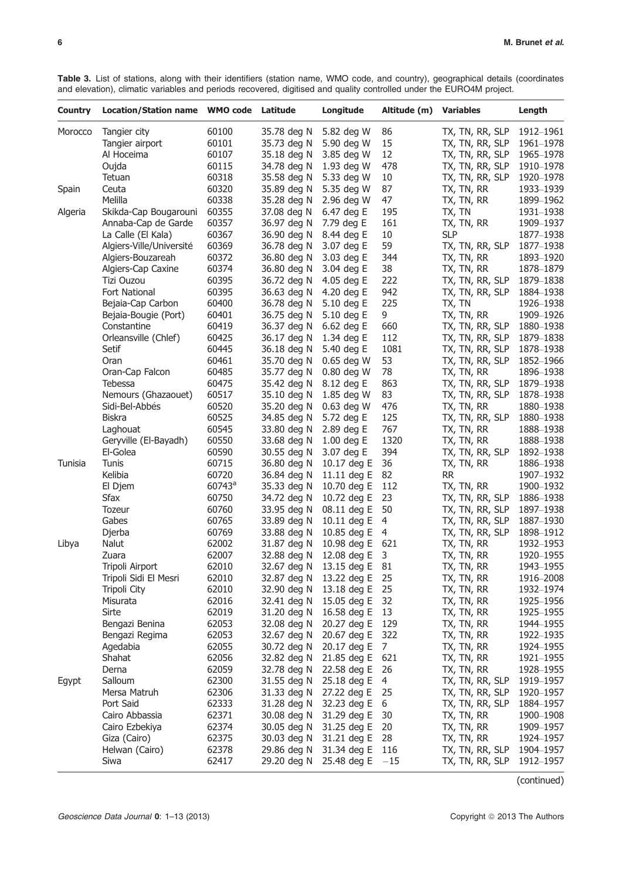Table 3. List of stations, along with their identifiers (station name, WMO code, and country), geographical details (coordinates and elevation), climatic variables and periods recovered, digitised and quality controlled under the EURO4M project.

| <b>Country</b> | Location/Station name WMO code Latitude |           |             | Longitude                  | Altitude (m) | <b>Variables</b> | Length    |
|----------------|-----------------------------------------|-----------|-------------|----------------------------|--------------|------------------|-----------|
| Morocco        | Tangier city                            | 60100     | 35.78 deg N | 5.82 deg W                 | 86           | TX, TN, RR, SLP  | 1912-1961 |
|                | Tangier airport                         | 60101     | 35.73 deg N | 5.90 deg W                 | 15           | TX, TN, RR, SLP  | 1961-1978 |
|                | Al Hoceima                              | 60107     | 35.18 deg N | 3.85 deg W                 | 12           | TX, TN, RR, SLP  | 1965-1978 |
|                | Oujda                                   | 60115     | 34.78 deg N | 1.93 deg W                 | 478          | TX, TN, RR, SLP  | 1910-1978 |
|                | Tetuan                                  | 60318     | 35.58 deg N | 5.33 deg W                 | 10           | TX, TN, RR, SLP  | 1920-1978 |
| Spain          | Ceuta                                   | 60320     | 35.89 deg N | 5.35 deg W                 | 87           | TX, TN, RR       | 1933-1939 |
|                | Melilla                                 | 60338     | 35.28 deg N | 2.96 deg W                 | 47           | TX, TN, RR       | 1899-1962 |
| Algeria        | Skikda-Cap Bougarouni                   | 60355     | 37.08 deg N | 6.47 deg E                 | 195          | TX, TN           | 1931-1938 |
|                | Annaba-Cap de Garde                     | 60357     | 36.97 deg N | 7.79 deg E                 | 161          | TX, TN, RR       | 1909-1937 |
|                | La Calle (El Kala)                      | 60367     | 36.90 deg N | 8.44 deg E                 | 10           | <b>SLP</b>       | 1877-1938 |
|                | Algiers-Ville/Université                | 60369     | 36.78 deg N | 3.07 deg E                 | 59           | TX, TN, RR, SLP  | 1877-1938 |
|                | Algiers-Bouzareah                       | 60372     | 36.80 deg N | 3.03 deg E                 | 344          | TX, TN, RR       | 1893-1920 |
|                | Algiers-Cap Caxine                      | 60374     | 36.80 deg N | 3.04 deg E                 | 38           | tx, tn, rr       | 1878-1879 |
|                | Tizi Ouzou                              | 60395     | 36.72 deg N | 4.05 deg E                 | 222          | TX, TN, RR, SLP  | 1879-1838 |
|                | Fort National                           | 60395     | 36.63 deg N | 4.20 deg E                 | 942          | TX, TN, RR, SLP  | 1884-1938 |
|                | Bejaia-Cap Carbon                       | 60400     | 36.78 deg N | 5.10 deg E                 | 225          | TX, TN           | 1926-1938 |
|                | Bejaia-Bougie (Port)                    | 60401     | 36.75 deg N | 5.10 deg E                 | 9            | TX, TN, RR       | 1909-1926 |
|                | Constantine                             | 60419     | 36.37 deg N | 6.62 deg E                 | 660          | TX, TN, RR, SLP  | 1880-1938 |
|                | Orleansville (Chlef)                    | 60425     | 36.17 deg N | 1.34 deg E                 | 112          | TX, TN, RR, SLP  | 1879-1838 |
|                | Setif                                   | 60445     | 36.18 deg N | 5.40 deg E                 | 1081         | TX, TN, RR, SLP  | 1878-1938 |
|                | Oran                                    | 60461     | 35.70 deg N | $0.65$ deg W               | 53           | TX, TN, RR, SLP  | 1852-1966 |
|                | Oran-Cap Falcon                         | 60485     | 35.77 deg N | 0.80 deg W                 | 78           | TX, TN, RR       | 1896-1938 |
|                | Tebessa                                 | 60475     | 35.42 deg N | 8.12 deg E                 | 863          | TX, TN, RR, SLP  | 1879-1938 |
|                | Nemours (Ghazaouet)                     | 60517     | 35.10 deg N | 1.85 deg W                 | 83           | TX, TN, RR, SLP  | 1878-1938 |
|                | Sidi-Bel-Abbés                          | 60520     | 35.20 deg N | $0.63$ deg W               | 476          | tx, tn, rr       | 1880-1938 |
|                | <b>Biskra</b>                           | 60525     | 34.85 deg N | 5.72 deg E                 | 125          | TX, TN, RR, SLP  | 1880-1938 |
|                | Laghouat                                | 60545     | 33.80 deg N | 2.89 deg E                 | 767          | TX, TN, RR       | 1888-1938 |
|                | Geryville (El-Bayadh)                   | 60550     | 33.68 deg N | $1.00$ deg E               | 1320         | TX, TN, RR       | 1888-1938 |
|                | El-Golea                                | 60590     | 30.55 deg N | 3.07 deg E                 | 394          | TX, TN, RR, SLP  | 1892-1938 |
| Tunisia        | <b>Tunis</b>                            | 60715     | 36.80 deg N | 10.17 deg E                | 36           | TX, TN, RR       | 1886-1938 |
|                | Kelibia                                 | 60720     | 36.84 deg N | 11.11 deg $E$              | 82           | <b>RR</b>        | 1907-1932 |
|                | El Djem                                 | $60743^a$ | 35.33 deg N | 10.70 deg E                | 112          | tx, tn, rr       | 1900-1932 |
|                | <b>Sfax</b>                             | 60750     | 34.72 deg N | 10.72 deg E                | 23           | TX, TN, RR, SLP  | 1886-1938 |
|                | Tozeur                                  | 60760     | 33.95 deg N | 08.11 deg E                | 50           | TX, TN, RR, SLP  | 1897-1938 |
|                | Gabes                                   | 60765     | 33.89 deg N | 10.11 deg E                | 4            | TX, TN, RR, SLP  | 1887-1930 |
|                | Djerba                                  | 60769     | 33.88 deg N | 10.85 deg E                | 4            | TX, TN, RR, SLP  | 1898-1912 |
| Libya          | Nalut                                   | 62002     | 31.87 deg N | 10.98 deg E                | 621          | TX, TN, RR       | 1932-1953 |
|                | Zuara                                   | 62007     | 32.88 deg N | 12.08 deg E                | 3            | TX, TN, RR       | 1920-1955 |
|                | Tripoli Airport                         | 62010     |             | 32.67 deg N 13.15 deg E 81 |              | TX, TN, RR       | 1943-1955 |
|                | Tripoli Sidi El Mesri                   | 62010     | 32.87 deg N | 13.22 deg E                | 25           | TX, TN, RR       | 1916-2008 |
|                | Tripoli City                            | 62010     | 32.90 deg N | 13.18 deg E                | 25           | TX, TN, RR       | 1932-1974 |
|                | Misurata                                | 62016     | 32.41 deg N | 15.05 deg E                | 32           | TX, TN, RR       | 1925–1956 |
|                | Sirte                                   | 62019     | 31.20 deg N | 16.58 deg E                | 13           | TX, TN, RR       | 1925-1955 |
|                | Bengazi Benina                          | 62053     | 32.08 deg N | 20.27 deg E                | 129          | TX, TN, RR       | 1944-1955 |
|                | Bengazi Regima                          | 62053     | 32.67 deg N | 20.67 deg E                | 322          | TX, TN, RR       | 1922-1935 |
|                | Agedabia                                | 62055     | 30.72 deg N | 20.17 deg E                | 7            | TX, TN, RR       | 1924-1955 |
|                | Shahat                                  | 62056     | 32.82 deg N | 21.85 deg E                | 621          | TX, TN, RR       | 1921-1955 |
|                | Derna                                   | 62059     | 32.78 deg N | 22.58 deg E                | 26           | TX, TN, RR       | 1928–1955 |
| Egypt          | Salloum                                 | 62300     | 31.55 deg N | 25.18 deg E                | 4            | TX, TN, RR, SLP  | 1919-1957 |
|                | Mersa Matruh                            | 62306     | 31.33 deg N | 27.22 deg E                | 25           | TX, TN, RR, SLP  | 1920-1957 |
|                | Port Said                               | 62333     | 31.28 deg N | 32.23 deg E                | 6            | TX, TN, RR, SLP  | 1884–1957 |
|                | Cairo Abbassia                          | 62371     | 30.08 deg N | 31.29 deg E                | 30           | TX, TN, RR       | 1900–1908 |
|                | Cairo Ezbekiya                          | 62374     | 30.05 deg N | 31.25 deg E                | 20           | TX, TN, RR       | 1909–1957 |
|                | Giza (Cairo)                            | 62375     | 30.03 deg N | 31.21 deg E                | 28           | tx, tn, rr       | 1924–1957 |
|                | Helwan (Cairo)                          | 62378     | 29.86 deg N | 31.34 deg E                | 116          | TX, TN, RR, SLP  | 1904–1957 |
|                | Siwa                                    | 62417     | 29.20 deg N | 25.48 deg $E$ -15          |              | TX, TN, RR, SLP  | 1912-1957 |

(continued)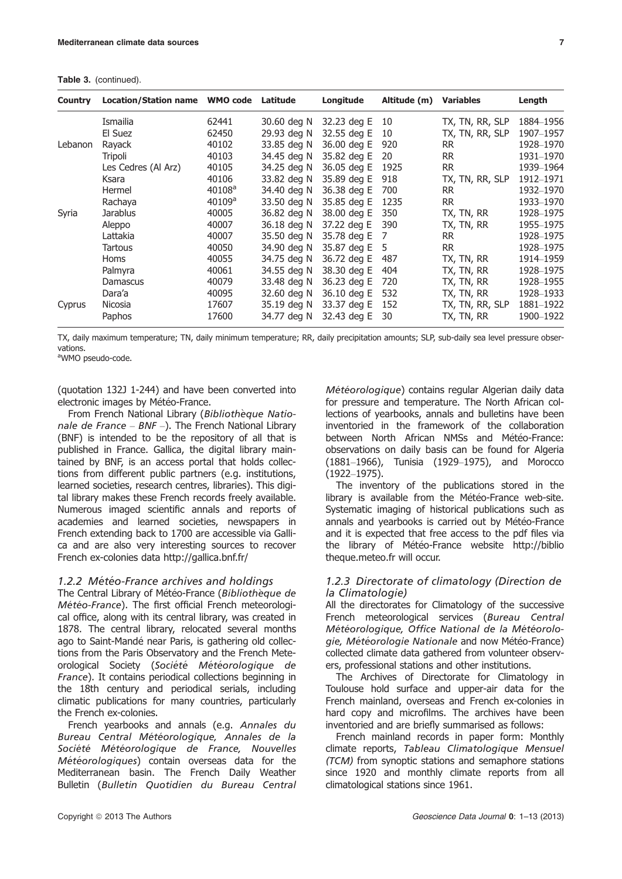Table 3. (continued).

| Country | <b>Location/Station name</b> | <b>WMO code</b> | Latitude    | Longitude   | Altitude (m) | <b>Variables</b> | Length    |
|---------|------------------------------|-----------------|-------------|-------------|--------------|------------------|-----------|
|         | Ismailia                     | 62441           | 30.60 deg N | 32.23 deg E | 10           | TX, TN, RR, SLP  | 1884-1956 |
|         | El Suez                      | 62450           | 29.93 deg N | 32.55 deg E | 10           | TX, TN, RR, SLP  | 1907-1957 |
| Lebanon | Rayack                       | 40102           | 33.85 deg N | 36.00 deg E | 920          | RR.              | 1928-1970 |
|         | Tripoli                      | 40103           | 34.45 deg N | 35.82 deg E | 20           | <b>RR</b>        | 1931-1970 |
|         | Les Cedres (Al Arz)          | 40105           | 34.25 deg N | 36.05 deg E | 1925         | <b>RR</b>        | 1939-1964 |
|         | Ksara                        | 40106           | 33.82 dea N | 35.89 dea E | 918          | TX, TN, RR, SLP  | 1912-1971 |
|         | Hermel                       | $40108^{\circ}$ | 34.40 deg N | 36.38 deg E | 700          | RR.              | 1932-1970 |
|         | Rachaya                      | 40109a          | 33.50 deg N | 35.85 deg E | 1235         | <b>RR</b>        | 1933-1970 |
| Syria   | Jarablus                     | 40005           | 36.82 deg N | 38.00 deg E | 350          | tx, tn, rr       | 1928-1975 |
|         | Aleppo                       | 40007           | 36.18 deg N | 37.22 dea E | 390          | tx, tn, rr       | 1955-1975 |
|         | Lattakia                     | 40007           | 35.50 deg N | 35.78 deg E | 7            | <b>RR</b>        | 1928-1975 |
|         | <b>Tartous</b>               | 40050           | 34.90 deg N | 35.87 deg E | 5            | <b>RR</b>        | 1928-1975 |
|         | <b>Homs</b>                  | 40055           | 34.75 deg N | 36.72 deg E | 487          | TX, TN, RR       | 1914-1959 |
|         | Palmyra                      | 40061           | 34.55 deg N | 38.30 deg E | 404          | tx, tn, rr       | 1928-1975 |
|         | Damascus                     | 40079           | 33.48 deg N | 36.23 deg E | 720          | TX, TN, RR       | 1928-1955 |
|         | Dara'a                       | 40095           | 32.60 deg N | 36.10 deg E | 532          | tx, tn, rr       | 1928-1933 |
| Cyprus  | Nicosia                      | 17607           | 35.19 deg N | 33.37 deg E | 152          | TX, TN, RR, SLP  | 1881-1922 |
|         | Paphos                       | 17600           | 34.77 dea N | 32.43 deg E | 30           | tx, tn, rr       | 1900-1922 |

TX, daily maximum temperature; TN, daily minimum temperature; RR, daily precipitation amounts; SLP, sub-daily sea level pressure observations.

<sup>a</sup>WMO pseudo-code.

(quotation 132J 1-244) and have been converted into electronic images by Météo-France.

From French National Library (Bibliotheque Nationale de France -  $BNF$  -). The French National Library (BNF) is intended to be the repository of all that is published in France. Gallica, the digital library maintained by BNF, is an access portal that holds collections from different public partners (e.g. institutions, learned societies, research centres, libraries). This digital library makes these French records freely available. Numerous imaged scientific annals and reports of academies and learned societies, newspapers in French extending back to 1700 are accessible via Gallica and are also very interesting sources to recover French ex-colonies data http://gallica.bnf.fr/

## 1.2.2 Météo-France archives and holdings

The Central Library of Météo-France (Bibliothèque de Météo-France). The first official French meteorological office, along with its central library, was created in 1878. The central library, relocated several months ago to Saint-Mandé near Paris, is gathering old collections from the Paris Observatory and the French Meteorological Society (Société Météorologique de France). It contains periodical collections beginning in the 18th century and periodical serials, including climatic publications for many countries, particularly the French ex-colonies.

French yearbooks and annals (e.g. Annales du Bureau Central Météorologique, Annales de la Société Météorologique de France, Nouvelles Météorologiques) contain overseas data for the Mediterranean basin. The French Daily Weather Bulletin (Bulletin Quotidien du Bureau Central Météorologique) contains regular Algerian daily data for pressure and temperature. The North African collections of yearbooks, annals and bulletins have been inventoried in the framework of the collaboration between North African NMSs and Météo-France: observations on daily basis can be found for Algeria (1881–1966), Tunisia (1929–1975), and Morocco (1922–1975).

The inventory of the publications stored in the library is available from the Météo-France web-site. Systematic imaging of historical publications such as annals and vearbooks is carried out by Météo-France and it is expected that free access to the pdf files via the library of Météo-France website http://biblio theque.meteo.fr will occur.

# 1.2.3 Directorate of climatology (Direction de la Climatologie)

All the directorates for Climatology of the successive French meteorological services (Bureau Central Météorologique, Office National de la Météorologie, Météorologie Nationale and now Météo-France) collected climate data gathered from volunteer observers, professional stations and other institutions.

The Archives of Directorate for Climatology in Toulouse hold surface and upper-air data for the French mainland, overseas and French ex-colonies in hard copy and microfilms. The archives have been inventoried and are briefly summarised as follows:

French mainland records in paper form: Monthly climate reports, Tableau Climatologique Mensuel (TCM) from synoptic stations and semaphore stations since 1920 and monthly climate reports from all climatological stations since 1961.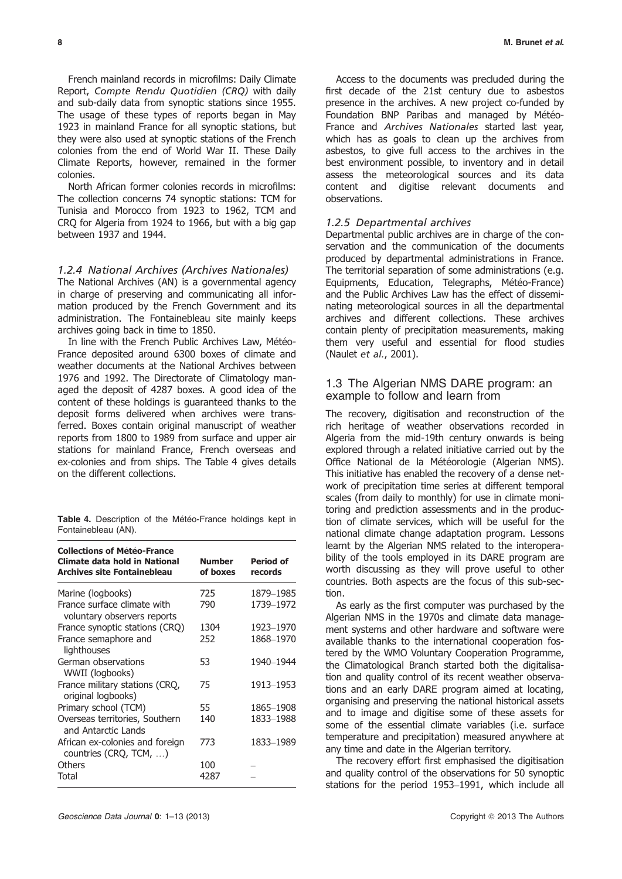French mainland records in microfilms: Daily Climate Report, Compte Rendu Quotidien (CRQ) with daily and sub-daily data from synoptic stations since 1955. The usage of these types of reports began in May 1923 in mainland France for all synoptic stations, but they were also used at synoptic stations of the French colonies from the end of World War II. These Daily Climate Reports, however, remained in the former colonies.

North African former colonies records in microfilms: The collection concerns 74 synoptic stations: TCM for Tunisia and Morocco from 1923 to 1962, TCM and CRQ for Algeria from 1924 to 1966, but with a big gap between 1937 and 1944.

#### 1.2.4 National Archives (Archives Nationales)

The National Archives (AN) is a governmental agency in charge of preserving and communicating all information produced by the French Government and its administration. The Fontainebleau site mainly keeps archives going back in time to 1850.

In line with the French Public Archives Law, Météo-France deposited around 6300 boxes of climate and weather documents at the National Archives between 1976 and 1992. The Directorate of Climatology managed the deposit of 4287 boxes. A good idea of the content of these holdings is guaranteed thanks to the deposit forms delivered when archives were transferred. Boxes contain original manuscript of weather reports from 1800 to 1989 from surface and upper air stations for mainland France, French overseas and ex-colonies and from ships. The Table 4 gives details on the different collections.

Table 4. Description of the Météo-France holdings kept in Fontainebleau (AN).

| <b>Collections of Météo-France</b><br>Climate data hold in National<br><b>Archives site Fontainebleau</b> | <b>Number</b><br>of boxes | <b>Period of</b><br>records |
|-----------------------------------------------------------------------------------------------------------|---------------------------|-----------------------------|
| Marine (logbooks)                                                                                         | 725                       | 1879–1985                   |
| France surface climate with<br>voluntary observers reports                                                | 790                       | 1739-1972                   |
| France synoptic stations (CRQ)                                                                            | 1304                      | 1923–1970                   |
| France semaphore and<br>lighthouses                                                                       | 252                       | 1868-1970                   |
| German observations<br>WWII (logbooks)                                                                    | 53                        | 1940–1944                   |
| France military stations (CRQ,<br>original logbooks)                                                      | 75                        | 1913-1953                   |
| Primary school (TCM)                                                                                      | 55                        | 1865-1908                   |
| Overseas territories, Southern<br>and Antarctic Lands                                                     | 140                       | 1833-1988                   |
| African ex-colonies and foreign<br>countries (CRQ, TCM, )                                                 | 773                       | 1833-1989                   |
| Others                                                                                                    | 100                       |                             |
| Total                                                                                                     | 4287                      |                             |

Access to the documents was precluded during the first decade of the 21st century due to asbestos presence in the archives. A new project co-funded by Foundation BNP Paribas and managed by Météo-France and Archives Nationales started last year, which has as goals to clean up the archives from asbestos, to give full access to the archives in the best environment possible, to inventory and in detail assess the meteorological sources and its data content and digitise relevant documents and observations.

#### 1.2.5 Departmental archives

Departmental public archives are in charge of the conservation and the communication of the documents produced by departmental administrations in France. The territorial separation of some administrations (e.g. Equipments, Education, Telegraphs, Météo-France) and the Public Archives Law has the effect of disseminating meteorological sources in all the departmental archives and different collections. These archives contain plenty of precipitation measurements, making them very useful and essential for flood studies (Naulet et al., 2001).

# 1.3 The Algerian NMS DARE program: an example to follow and learn from

The recovery, digitisation and reconstruction of the rich heritage of weather observations recorded in Algeria from the mid-19th century onwards is being explored through a related initiative carried out by the Office National de la Météorologie (Algerian NMS). This initiative has enabled the recovery of a dense network of precipitation time series at different temporal scales (from daily to monthly) for use in climate monitoring and prediction assessments and in the production of climate services, which will be useful for the national climate change adaptation program. Lessons learnt by the Algerian NMS related to the interoperability of the tools employed in its DARE program are worth discussing as they will prove useful to other countries. Both aspects are the focus of this sub-section.

As early as the first computer was purchased by the Algerian NMS in the 1970s and climate data management systems and other hardware and software were available thanks to the international cooperation fostered by the WMO Voluntary Cooperation Programme, the Climatological Branch started both the digitalisation and quality control of its recent weather observations and an early DARE program aimed at locating, organising and preserving the national historical assets and to image and digitise some of these assets for some of the essential climate variables (i.e. surface temperature and precipitation) measured anywhere at any time and date in the Algerian territory.

The recovery effort first emphasised the digitisation and quality control of the observations for 50 synoptic stations for the period 1953–1991, which include all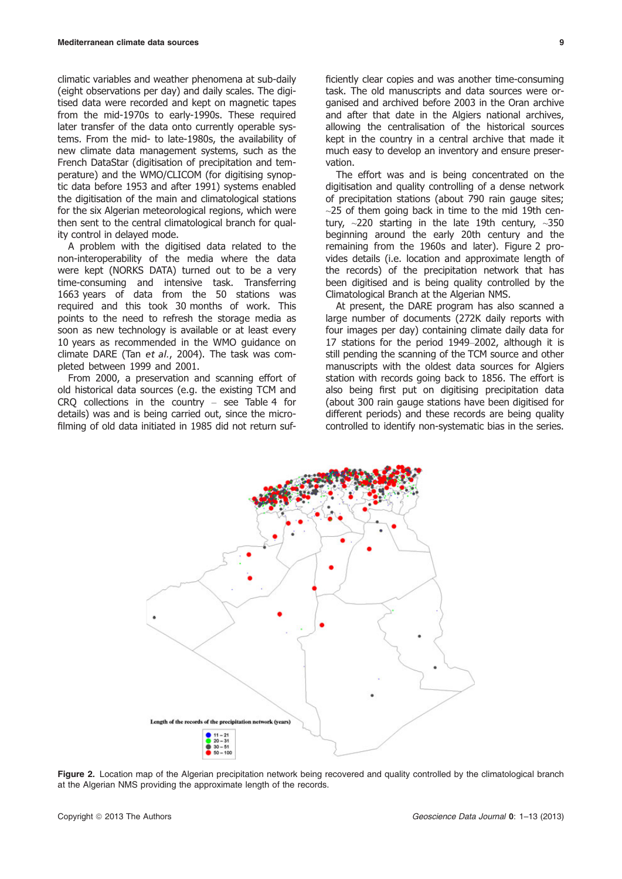climatic variables and weather phenomena at sub-daily (eight observations per day) and daily scales. The digitised data were recorded and kept on magnetic tapes from the mid-1970s to early-1990s. These required later transfer of the data onto currently operable systems. From the mid- to late-1980s, the availability of new climate data management systems, such as the French DataStar (digitisation of precipitation and temperature) and the WMO/CLICOM (for digitising synoptic data before 1953 and after 1991) systems enabled the digitisation of the main and climatological stations for the six Algerian meteorological regions, which were then sent to the central climatological branch for quality control in delayed mode.

A problem with the digitised data related to the non-interoperability of the media where the data were kept (NORKS DATA) turned out to be a very time-consuming and intensive task. Transferring 1663 years of data from the 50 stations was required and this took 30 months of work. This points to the need to refresh the storage media as soon as new technology is available or at least every 10 years as recommended in the WMO guidance on climate DARE (Tan et al., 2004). The task was completed between 1999 and 2001.

From 2000, a preservation and scanning effort of old historical data sources (e.g. the existing TCM and CRQ collections in the country – see Table 4 for details) was and is being carried out, since the microfilming of old data initiated in 1985 did not return sufficiently clear copies and was another time-consuming task. The old manuscripts and data sources were organised and archived before 2003 in the Oran archive and after that date in the Algiers national archives, allowing the centralisation of the historical sources kept in the country in a central archive that made it much easy to develop an inventory and ensure preservation.

The effort was and is being concentrated on the digitisation and quality controlling of a dense network of precipitation stations (about 790 rain gauge sites;  $\sim$ 25 of them going back in time to the mid 19th century,  $\sim$ 220 starting in the late 19th century,  $\sim$ 350 beginning around the early 20th century and the remaining from the 1960s and later). Figure 2 provides details (i.e. location and approximate length of the records) of the precipitation network that has been digitised and is being quality controlled by the Climatological Branch at the Algerian NMS.

At present, the DARE program has also scanned a large number of documents (272K daily reports with four images per day) containing climate daily data for 17 stations for the period 1949–2002, although it is still pending the scanning of the TCM source and other manuscripts with the oldest data sources for Algiers station with records going back to 1856. The effort is also being first put on digitising precipitation data (about 300 rain gauge stations have been digitised for different periods) and these records are being quality controlled to identify non-systematic bias in the series.



Figure 2. Location map of the Algerian precipitation network being recovered and quality controlled by the climatological branch at the Algerian NMS providing the approximate length of the records.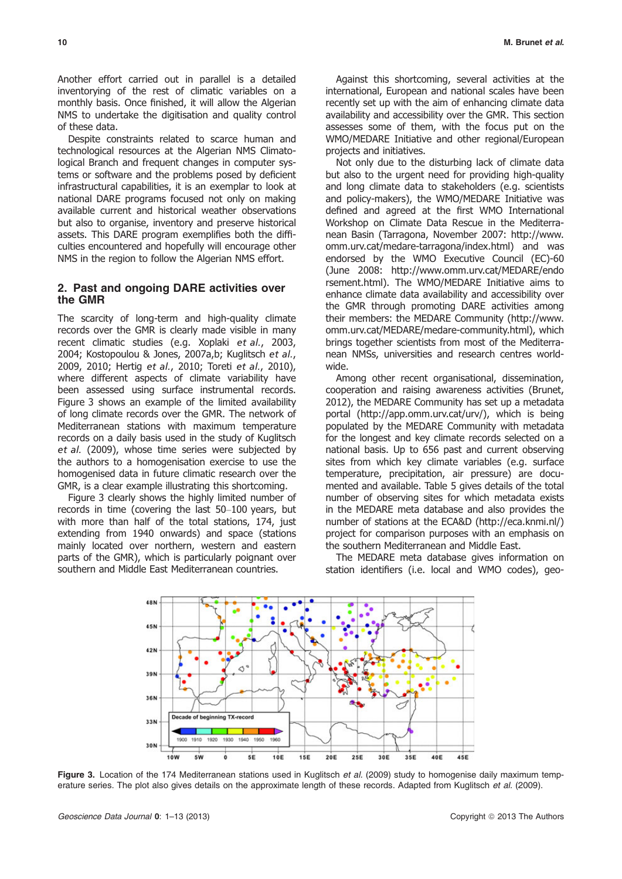Another effort carried out in parallel is a detailed inventorying of the rest of climatic variables on a monthly basis. Once finished, it will allow the Algerian NMS to undertake the digitisation and quality control of these data.

Despite constraints related to scarce human and technological resources at the Algerian NMS Climatological Branch and frequent changes in computer systems or software and the problems posed by deficient infrastructural capabilities, it is an exemplar to look at national DARE programs focused not only on making available current and historical weather observations but also to organise, inventory and preserve historical assets. This DARE program exemplifies both the difficulties encountered and hopefully will encourage other NMS in the region to follow the Algerian NMS effort.

## 2. Past and ongoing DARE activities over the GMR

The scarcity of long-term and high-quality climate records over the GMR is clearly made visible in many recent climatic studies (e.g. Xoplaki et al., 2003, 2004; Kostopoulou & Jones, 2007a,b; Kuglitsch et al., 2009, 2010; Hertig et al., 2010; Toreti et al., 2010), where different aspects of climate variability have been assessed using surface instrumental records. Figure 3 shows an example of the limited availability of long climate records over the GMR. The network of Mediterranean stations with maximum temperature records on a daily basis used in the study of Kuglitsch et al. (2009), whose time series were subjected by the authors to a homogenisation exercise to use the homogenised data in future climatic research over the GMR, is a clear example illustrating this shortcoming.

Figure 3 clearly shows the highly limited number of records in time (covering the last 50–100 years, but with more than half of the total stations, 174, just extending from 1940 onwards) and space (stations mainly located over northern, western and eastern parts of the GMR), which is particularly poignant over southern and Middle East Mediterranean countries.

Against this shortcoming, several activities at the international, European and national scales have been recently set up with the aim of enhancing climate data availability and accessibility over the GMR. This section assesses some of them, with the focus put on the WMO/MEDARE Initiative and other regional/European projects and initiatives.

Not only due to the disturbing lack of climate data but also to the urgent need for providing high-quality and long climate data to stakeholders (e.g. scientists and policy-makers), the WMO/MEDARE Initiative was defined and agreed at the first WMO International Workshop on Climate Data Rescue in the Mediterranean Basin (Tarragona, November 2007: http://www. omm.urv.cat/medare-tarragona/index.html) and was endorsed by the WMO Executive Council (EC)-60 (June 2008: http://www.omm.urv.cat/MEDARE/endo rsement.html). The WMO/MEDARE Initiative aims to enhance climate data availability and accessibility over the GMR through promoting DARE activities among their members: the MEDARE Community (http://www. omm.urv.cat/MEDARE/medare-community.html), which brings together scientists from most of the Mediterranean NMSs, universities and research centres worldwide.

Among other recent organisational, dissemination, cooperation and raising awareness activities (Brunet, 2012), the MEDARE Community has set up a metadata portal (http://app.omm.urv.cat/urv/), which is being populated by the MEDARE Community with metadata for the longest and key climate records selected on a national basis. Up to 656 past and current observing sites from which key climate variables (e.g. surface temperature, precipitation, air pressure) are documented and available. Table 5 gives details of the total number of observing sites for which metadata exists in the MEDARE meta database and also provides the number of stations at the ECA&D (http://eca.knmi.nl/) project for comparison purposes with an emphasis on the southern Mediterranean and Middle East.

The MEDARE meta database gives information on station identifiers (i.e. local and WMO codes), geo-



Figure 3. Location of the 174 Mediterranean stations used in Kuglitsch et al. (2009) study to homogenise daily maximum temperature series. The plot also gives details on the approximate length of these records. Adapted from Kuglitsch et al. (2009).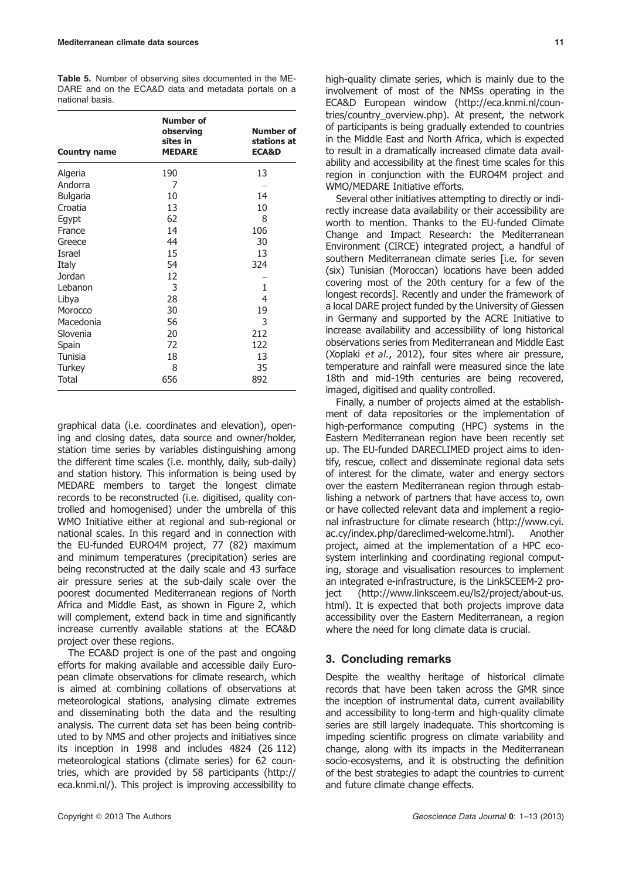| <b>Table 5.</b> Number of observing sites documented in the ME- |  |
|-----------------------------------------------------------------|--|
| DARE and on the ECA&D data and metadata portals on a            |  |
| national basis.                                                 |  |

| <b>Country name</b> | <b>Number of</b><br>observing<br>sites in<br><b>MEDARE</b> | Number of<br>stations at<br><b>ECA&amp;D</b> |
|---------------------|------------------------------------------------------------|----------------------------------------------|
| Algeria             | 190                                                        | 13                                           |
| Andorra             | 7                                                          |                                              |
| <b>Bulgaria</b>     | 10                                                         | 14                                           |
| Croatia             | 13                                                         | 10                                           |
| Egypt               | 62                                                         | 8                                            |
| France              | 14                                                         | 106                                          |
| Greece              | 44                                                         | 30                                           |
| Israel              | 15                                                         | 13                                           |
| Italy               | 54                                                         | 324                                          |
| Jordan              | 12                                                         |                                              |
| Lebanon             | 3                                                          | 1                                            |
| Libya               | 28                                                         | 4                                            |
| Morocco             | 30                                                         | 19                                           |
| Macedonia           | 56                                                         | 3                                            |
| Slovenia            | 20                                                         | 212                                          |
| Spain               | 72                                                         | 122                                          |
| Tunisia             | 18                                                         | 13                                           |
| Turkey              | 8                                                          | 35                                           |
| Total               | 656                                                        | 892                                          |

graphical data (i.e. coordinates and elevation), opening and closing dates, data source and owner/holder, station time series by variables distinguishing among the different time scales (i.e. monthly, daily, sub-daily) and station history. This information is being used by MEDARE members to target the longest climate records to be reconstructed (i.e. digitised, quality controlled and homogenised) under the umbrella of this WMO Initiative either at regional and sub-regional or national scales. In this regard and in connection with the EU-funded EURO4M project, 77 (82) maximum and minimum temperatures (precipitation) series are being reconstructed at the daily scale and 43 surface air pressure series at the sub-daily scale over the poorest documented Mediterranean regions of North Africa and Middle East, as shown in Figure 2, which will complement, extend back in time and significantly increase currently available stations at the ECA&D project over these regions.

The ECA&D project is one of the past and ongoing efforts for making available and accessible daily European climate observations for climate research, which is aimed at combining collations of observations at meteorological stations, analysing climate extremes and disseminating both the data and the resulting analysis. The current data set has been being contributed to by NMS and other projects and initiatives since its inception in 1998 and includes 4824 (26 112) meteorological stations (climate series) for 62 countries, which are provided by 58 participants (http:// eca.knmi.nl/). This project is improving accessibility to high-quality climate series, which is mainly due to the involvement of most of the NMSs operating in the ECA&D European window (http://eca.knmi.nl/countries/country\_overview.php). At present, the network of participants is being gradually extended to countries in the Middle East and North Africa, which is expected to result in a dramatically increased climate data availability and accessibility at the finest time scales for this region in conjunction with the EURO4M project and WMO/MEDARE Initiative efforts.

Several other initiatives attempting to directly or indirectly increase data availability or their accessibility are worth to mention. Thanks to the EU-funded Climate Change and Impact Research: the Mediterranean Environment (CIRCE) integrated project, a handful of southern Mediterranean climate series [i.e. for seven (six) Tunisian (Moroccan) locations have been added covering most of the 20th century for a few of the longest records]. Recently and under the framework of a local DARE project funded by the University of Giessen in Germany and supported by the ACRE Initiative to increase availability and accessibility of long historical observations series from Mediterranean and Middle East (Xoplaki et al., 2012), four sites where air pressure, temperature and rainfall were measured since the late 18th and mid-19th centuries are being recovered, imaged, digitised and quality controlled.

Finally, a number of projects aimed at the establishment of data repositories or the implementation of high-performance computing (HPC) systems in the Eastern Mediterranean region have been recently set up. The EU-funded DARECLIMED project aims to identify, rescue, collect and disseminate regional data sets of interest for the climate, water and energy sectors over the eastern Mediterranean region through establishing a network of partners that have access to, own or have collected relevant data and implement a regional infrastructure for climate research (http://www.cyi. ac.cy/index.php/dareclimed-welcome.html). Another project, aimed at the implementation of a HPC ecosystem interlinking and coordinating regional computing, storage and visualisation resources to implement an integrated e-infrastructure, is the LinkSCEEM-2 project (http://www.linksceem.eu/ls2/project/about-us. html). It is expected that both projects improve data accessibility over the Eastern Mediterranean, a region where the need for long climate data is crucial.

# 3. Concluding remarks

Despite the wealthy heritage of historical climate records that have been taken across the GMR since the inception of instrumental data, current availability and accessibility to long-term and high-quality climate series are still largely inadequate. This shortcoming is impeding scientific progress on climate variability and change, along with its impacts in the Mediterranean socio-ecosystems, and it is obstructing the definition of the best strategies to adapt the countries to current and future climate change effects.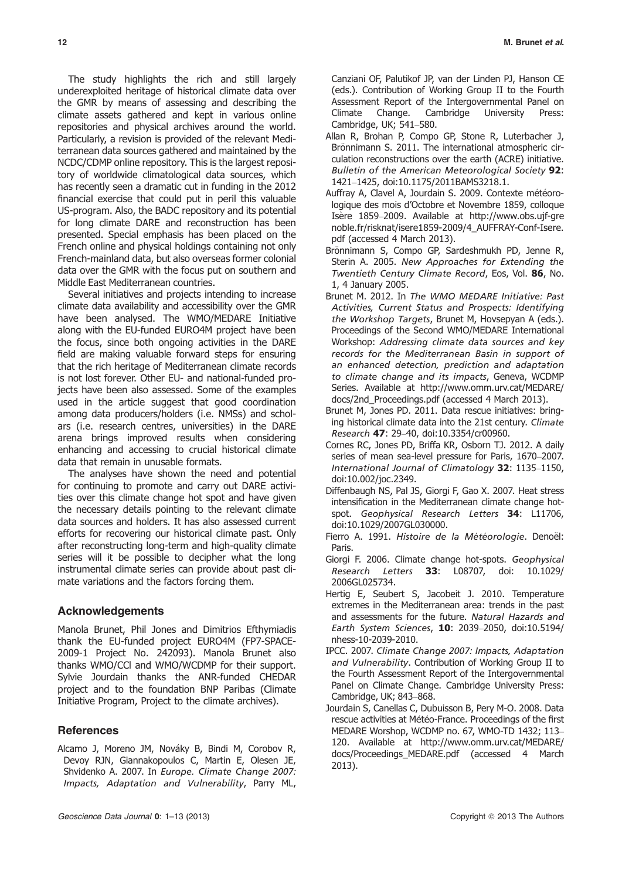The study highlights the rich and still largely underexploited heritage of historical climate data over the GMR by means of assessing and describing the climate assets gathered and kept in various online repositories and physical archives around the world. Particularly, a revision is provided of the relevant Mediterranean data sources gathered and maintained by the NCDC/CDMP online repository. This is the largest repository of worldwide climatological data sources, which has recently seen a dramatic cut in funding in the 2012 financial exercise that could put in peril this valuable US-program. Also, the BADC repository and its potential for long climate DARE and reconstruction has been presented. Special emphasis has been placed on the French online and physical holdings containing not only French-mainland data, but also overseas former colonial data over the GMR with the focus put on southern and Middle East Mediterranean countries.

Several initiatives and projects intending to increase climate data availability and accessibility over the GMR have been analysed. The WMO/MEDARE Initiative along with the EU-funded EURO4M project have been the focus, since both ongoing activities in the DARE field are making valuable forward steps for ensuring that the rich heritage of Mediterranean climate records is not lost forever. Other EU- and national-funded projects have been also assessed. Some of the examples used in the article suggest that good coordination among data producers/holders (i.e. NMSs) and scholars (i.e. research centres, universities) in the DARE arena brings improved results when considering enhancing and accessing to crucial historical climate data that remain in unusable formats.

The analyses have shown the need and potential for continuing to promote and carry out DARE activities over this climate change hot spot and have given the necessary details pointing to the relevant climate data sources and holders. It has also assessed current efforts for recovering our historical climate past. Only after reconstructing long-term and high-quality climate series will it be possible to decipher what the long instrumental climate series can provide about past climate variations and the factors forcing them.

# Acknowledgements

Manola Brunet, Phil Jones and Dimitrios Efthymiadis thank the EU-funded project EURO4M (FP7-SPACE-2009-1 Project No. 242093). Manola Brunet also thanks WMO/CCl and WMO/WCDMP for their support. Sylvie Jourdain thanks the ANR-funded CHEDAR project and to the foundation BNP Paribas (Climate Initiative Program, Project to the climate archives).

# **References**

Alcamo J, Moreno JM, Nováky B, Bindi M, Corobov R, Devoy RJN, Giannakopoulos C, Martin E, Olesen JE, Shvidenko A. 2007. In Europe. Climate Change 2007: Impacts, Adaptation and Vulnerability, Parry ML,

Canziani OF, Palutikof JP, van der Linden PJ, Hanson CE (eds.). Contribution of Working Group II to the Fourth Assessment Report of the Intergovernmental Panel on Climate Change. Cambridge University Press: Cambridge, UK; 541–580.

- Allan R, Brohan P, Compo GP, Stone R, Luterbacher J, Brönnimann S. 2011. The international atmospheric circulation reconstructions over the earth (ACRE) initiative. Bulletin of the American Meteorological Society 92: 1421–1425, doi:10.1175/2011BAMS3218.1.
- Auffray A, Clavel A, Jourdain S, 2009. Contexte météorologique des mois d'Octobre et Novembre 1859, colloque Isère 1859-2009. Available at http://www.obs.ujf-gre noble.fr/risknat/isere1859-2009/4\_AUFFRAY-Conf-Isere. pdf (accessed 4 March 2013).
- Brönnimann S, Compo GP, Sardeshmukh PD, Jenne R, Sterin A. 2005. New Approaches for Extending the Twentieth Century Climate Record, Eos, Vol. 86, No. 1, 4 January 2005.
- Brunet M. 2012. In The WMO MEDARE Initiative: Past Activities, Current Status and Prospects: Identifying the Workshop Targets, Brunet M, Hovsepyan A (eds.). Proceedings of the Second WMO/MEDARE International Workshop: Addressing climate data sources and key records for the Mediterranean Basin in support of an enhanced detection, prediction and adaptation to climate change and its impacts, Geneva, WCDMP Series. Available at http://www.omm.urv.cat/MEDARE/ docs/2nd\_Proceedings.pdf (accessed 4 March 2013).
- Brunet M, Jones PD. 2011. Data rescue initiatives: bringing historical climate data into the 21st century. Climate Research 47: 29–40, doi:10.3354/cr00960.
- Cornes RC, Jones PD, Briffa KR, Osborn TJ. 2012. A daily series of mean sea-level pressure for Paris, 1670–2007. International Journal of Climatology 32: 1135–1150, doi:10.002/joc.2349.
- Diffenbaugh NS, Pal JS, Giorgi F, Gao X. 2007. Heat stress intensification in the Mediterranean climate change hotspot. Geophysical Research Letters 34: L11706, doi:10.1029/2007GL030000.
- Fierro A. 1991. Histoire de la Météorologie. Denoël: Paris.
- Giorgi F. 2006. Climate change hot-spots. Geophysical Research Letters 33: L08707, doi: 10.1029/ 2006GL025734.
- Hertig E, Seubert S, Jacobeit J. 2010. Temperature extremes in the Mediterranean area: trends in the past and assessments for the future. Natural Hazards and Earth System Sciences, 10: 2039–2050, doi:10.5194/ nhess-10-2039-2010.
- IPCC. 2007. Climate Change 2007: Impacts, Adaptation and Vulnerability. Contribution of Working Group II to the Fourth Assessment Report of the Intergovernmental Panel on Climate Change. Cambridge University Press: Cambridge, UK; 843–868.
- Jourdain S, Canellas C, Dubuisson B, Pery M-O. 2008. Data rescue activities at Météo-France. Proceedings of the first MEDARE Worshop, WCDMP no. 67, WMO-TD 1432; 113– 120. Available at http://www.omm.urv.cat/MEDARE/ docs/Proceedings\_MEDARE.pdf (accessed 4 March 2013).